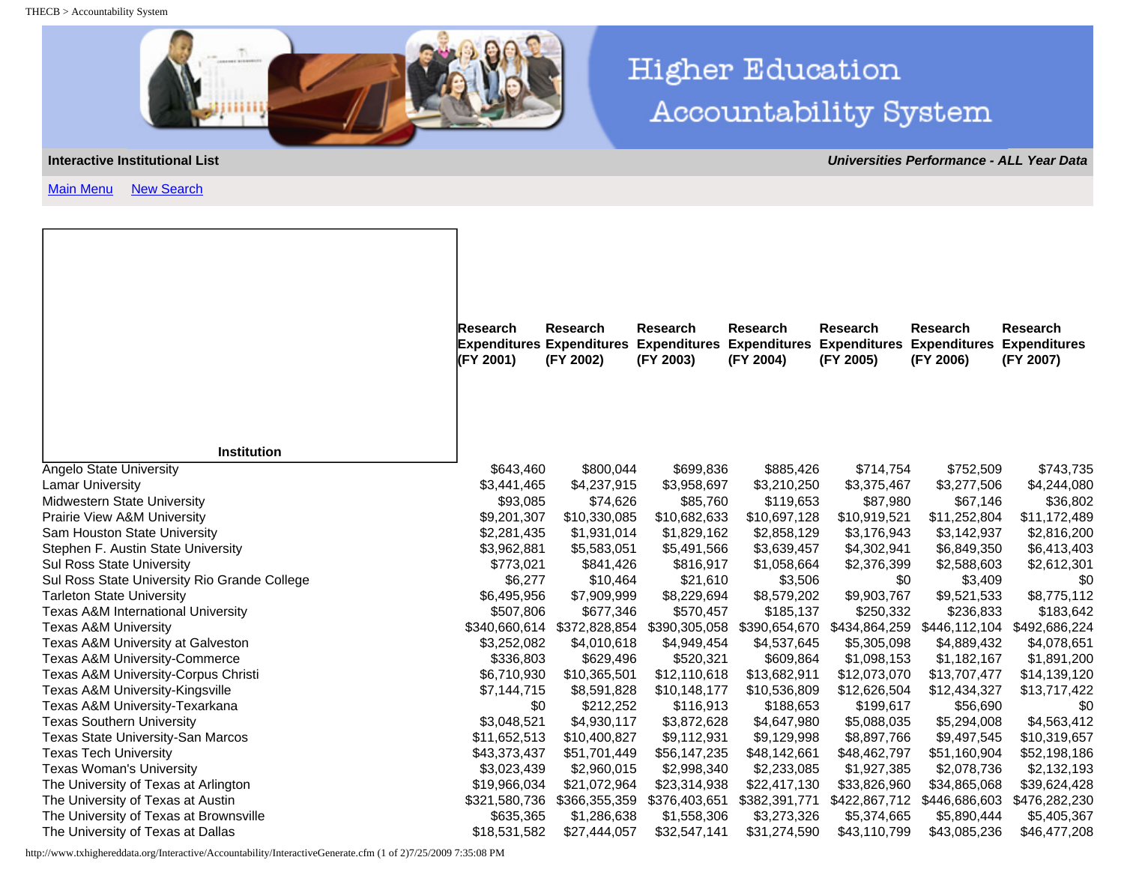THECB > Accountability System



[Main Menu](http://www.txhighereddata.org/Interactive/Accountability/default.cfm) [New Search](http://www.txhighereddata.org/Interactive/Accountability/InteractiveMain.cfm?Type=UNIV&Yr=ALL)

## **Higher Education** Accountability System

**Interactive Institutional List** *Universities Performance - ALL Year Data*

| <b>Research</b><br><b>Expenditures</b><br>(FY 2001) | <b>Research</b> |                                                                                                                                                                                                                                                                                                                                                                                         |                                                                                                                                                                                                                                                                                                                                                                                                                                | <b>Research</b>                                                                                                                                                                                                                                                                                                                                                                                       | <b>Research</b>                                                                                                                                                                                                                                                                                                                                                                                      | <b>Research</b><br><b>Expenditures</b><br>(FY 2007)                                                                                                                                                                                                                                                                                                                                                                                                                                                                                                                                                                                                                                                                                                                   |
|-----------------------------------------------------|-----------------|-----------------------------------------------------------------------------------------------------------------------------------------------------------------------------------------------------------------------------------------------------------------------------------------------------------------------------------------------------------------------------------------|--------------------------------------------------------------------------------------------------------------------------------------------------------------------------------------------------------------------------------------------------------------------------------------------------------------------------------------------------------------------------------------------------------------------------------|-------------------------------------------------------------------------------------------------------------------------------------------------------------------------------------------------------------------------------------------------------------------------------------------------------------------------------------------------------------------------------------------------------|------------------------------------------------------------------------------------------------------------------------------------------------------------------------------------------------------------------------------------------------------------------------------------------------------------------------------------------------------------------------------------------------------|-----------------------------------------------------------------------------------------------------------------------------------------------------------------------------------------------------------------------------------------------------------------------------------------------------------------------------------------------------------------------------------------------------------------------------------------------------------------------------------------------------------------------------------------------------------------------------------------------------------------------------------------------------------------------------------------------------------------------------------------------------------------------|
|                                                     |                 |                                                                                                                                                                                                                                                                                                                                                                                         |                                                                                                                                                                                                                                                                                                                                                                                                                                |                                                                                                                                                                                                                                                                                                                                                                                                       |                                                                                                                                                                                                                                                                                                                                                                                                      |                                                                                                                                                                                                                                                                                                                                                                                                                                                                                                                                                                                                                                                                                                                                                                       |
|                                                     |                 |                                                                                                                                                                                                                                                                                                                                                                                         |                                                                                                                                                                                                                                                                                                                                                                                                                                |                                                                                                                                                                                                                                                                                                                                                                                                       |                                                                                                                                                                                                                                                                                                                                                                                                      | \$743,735                                                                                                                                                                                                                                                                                                                                                                                                                                                                                                                                                                                                                                                                                                                                                             |
|                                                     |                 |                                                                                                                                                                                                                                                                                                                                                                                         |                                                                                                                                                                                                                                                                                                                                                                                                                                |                                                                                                                                                                                                                                                                                                                                                                                                       |                                                                                                                                                                                                                                                                                                                                                                                                      | \$4,244,080                                                                                                                                                                                                                                                                                                                                                                                                                                                                                                                                                                                                                                                                                                                                                           |
|                                                     |                 |                                                                                                                                                                                                                                                                                                                                                                                         |                                                                                                                                                                                                                                                                                                                                                                                                                                |                                                                                                                                                                                                                                                                                                                                                                                                       |                                                                                                                                                                                                                                                                                                                                                                                                      | \$36,802                                                                                                                                                                                                                                                                                                                                                                                                                                                                                                                                                                                                                                                                                                                                                              |
|                                                     |                 |                                                                                                                                                                                                                                                                                                                                                                                         |                                                                                                                                                                                                                                                                                                                                                                                                                                |                                                                                                                                                                                                                                                                                                                                                                                                       |                                                                                                                                                                                                                                                                                                                                                                                                      | \$11,172,489                                                                                                                                                                                                                                                                                                                                                                                                                                                                                                                                                                                                                                                                                                                                                          |
|                                                     |                 |                                                                                                                                                                                                                                                                                                                                                                                         |                                                                                                                                                                                                                                                                                                                                                                                                                                |                                                                                                                                                                                                                                                                                                                                                                                                       |                                                                                                                                                                                                                                                                                                                                                                                                      | \$2,816,200                                                                                                                                                                                                                                                                                                                                                                                                                                                                                                                                                                                                                                                                                                                                                           |
|                                                     |                 |                                                                                                                                                                                                                                                                                                                                                                                         |                                                                                                                                                                                                                                                                                                                                                                                                                                |                                                                                                                                                                                                                                                                                                                                                                                                       |                                                                                                                                                                                                                                                                                                                                                                                                      | \$6,413,403                                                                                                                                                                                                                                                                                                                                                                                                                                                                                                                                                                                                                                                                                                                                                           |
|                                                     |                 |                                                                                                                                                                                                                                                                                                                                                                                         |                                                                                                                                                                                                                                                                                                                                                                                                                                |                                                                                                                                                                                                                                                                                                                                                                                                       |                                                                                                                                                                                                                                                                                                                                                                                                      | \$2,612,301                                                                                                                                                                                                                                                                                                                                                                                                                                                                                                                                                                                                                                                                                                                                                           |
|                                                     |                 |                                                                                                                                                                                                                                                                                                                                                                                         |                                                                                                                                                                                                                                                                                                                                                                                                                                |                                                                                                                                                                                                                                                                                                                                                                                                       |                                                                                                                                                                                                                                                                                                                                                                                                      | \$0                                                                                                                                                                                                                                                                                                                                                                                                                                                                                                                                                                                                                                                                                                                                                                   |
|                                                     |                 |                                                                                                                                                                                                                                                                                                                                                                                         |                                                                                                                                                                                                                                                                                                                                                                                                                                |                                                                                                                                                                                                                                                                                                                                                                                                       |                                                                                                                                                                                                                                                                                                                                                                                                      | \$8,775,112<br>\$183,642                                                                                                                                                                                                                                                                                                                                                                                                                                                                                                                                                                                                                                                                                                                                              |
|                                                     |                 |                                                                                                                                                                                                                                                                                                                                                                                         |                                                                                                                                                                                                                                                                                                                                                                                                                                |                                                                                                                                                                                                                                                                                                                                                                                                       |                                                                                                                                                                                                                                                                                                                                                                                                      | \$492,686,224                                                                                                                                                                                                                                                                                                                                                                                                                                                                                                                                                                                                                                                                                                                                                         |
|                                                     |                 |                                                                                                                                                                                                                                                                                                                                                                                         |                                                                                                                                                                                                                                                                                                                                                                                                                                |                                                                                                                                                                                                                                                                                                                                                                                                       |                                                                                                                                                                                                                                                                                                                                                                                                      | \$4,078,651                                                                                                                                                                                                                                                                                                                                                                                                                                                                                                                                                                                                                                                                                                                                                           |
|                                                     |                 |                                                                                                                                                                                                                                                                                                                                                                                         |                                                                                                                                                                                                                                                                                                                                                                                                                                |                                                                                                                                                                                                                                                                                                                                                                                                       |                                                                                                                                                                                                                                                                                                                                                                                                      | \$1,891,200                                                                                                                                                                                                                                                                                                                                                                                                                                                                                                                                                                                                                                                                                                                                                           |
|                                                     |                 |                                                                                                                                                                                                                                                                                                                                                                                         |                                                                                                                                                                                                                                                                                                                                                                                                                                |                                                                                                                                                                                                                                                                                                                                                                                                       |                                                                                                                                                                                                                                                                                                                                                                                                      | \$14,139,120                                                                                                                                                                                                                                                                                                                                                                                                                                                                                                                                                                                                                                                                                                                                                          |
|                                                     |                 |                                                                                                                                                                                                                                                                                                                                                                                         |                                                                                                                                                                                                                                                                                                                                                                                                                                |                                                                                                                                                                                                                                                                                                                                                                                                       |                                                                                                                                                                                                                                                                                                                                                                                                      | \$13,717,422                                                                                                                                                                                                                                                                                                                                                                                                                                                                                                                                                                                                                                                                                                                                                          |
|                                                     |                 |                                                                                                                                                                                                                                                                                                                                                                                         |                                                                                                                                                                                                                                                                                                                                                                                                                                |                                                                                                                                                                                                                                                                                                                                                                                                       |                                                                                                                                                                                                                                                                                                                                                                                                      | \$0                                                                                                                                                                                                                                                                                                                                                                                                                                                                                                                                                                                                                                                                                                                                                                   |
|                                                     |                 |                                                                                                                                                                                                                                                                                                                                                                                         |                                                                                                                                                                                                                                                                                                                                                                                                                                |                                                                                                                                                                                                                                                                                                                                                                                                       |                                                                                                                                                                                                                                                                                                                                                                                                      | \$4,563,412                                                                                                                                                                                                                                                                                                                                                                                                                                                                                                                                                                                                                                                                                                                                                           |
|                                                     |                 |                                                                                                                                                                                                                                                                                                                                                                                         |                                                                                                                                                                                                                                                                                                                                                                                                                                |                                                                                                                                                                                                                                                                                                                                                                                                       |                                                                                                                                                                                                                                                                                                                                                                                                      | \$10,319,657                                                                                                                                                                                                                                                                                                                                                                                                                                                                                                                                                                                                                                                                                                                                                          |
|                                                     |                 |                                                                                                                                                                                                                                                                                                                                                                                         |                                                                                                                                                                                                                                                                                                                                                                                                                                |                                                                                                                                                                                                                                                                                                                                                                                                       |                                                                                                                                                                                                                                                                                                                                                                                                      | \$52,198,186                                                                                                                                                                                                                                                                                                                                                                                                                                                                                                                                                                                                                                                                                                                                                          |
|                                                     |                 |                                                                                                                                                                                                                                                                                                                                                                                         |                                                                                                                                                                                                                                                                                                                                                                                                                                |                                                                                                                                                                                                                                                                                                                                                                                                       |                                                                                                                                                                                                                                                                                                                                                                                                      | \$2,132,193                                                                                                                                                                                                                                                                                                                                                                                                                                                                                                                                                                                                                                                                                                                                                           |
|                                                     |                 |                                                                                                                                                                                                                                                                                                                                                                                         |                                                                                                                                                                                                                                                                                                                                                                                                                                |                                                                                                                                                                                                                                                                                                                                                                                                       |                                                                                                                                                                                                                                                                                                                                                                                                      | \$39,624,428                                                                                                                                                                                                                                                                                                                                                                                                                                                                                                                                                                                                                                                                                                                                                          |
|                                                     |                 |                                                                                                                                                                                                                                                                                                                                                                                         |                                                                                                                                                                                                                                                                                                                                                                                                                                |                                                                                                                                                                                                                                                                                                                                                                                                       |                                                                                                                                                                                                                                                                                                                                                                                                      | \$476,282,230                                                                                                                                                                                                                                                                                                                                                                                                                                                                                                                                                                                                                                                                                                                                                         |
|                                                     |                 |                                                                                                                                                                                                                                                                                                                                                                                         |                                                                                                                                                                                                                                                                                                                                                                                                                                |                                                                                                                                                                                                                                                                                                                                                                                                       |                                                                                                                                                                                                                                                                                                                                                                                                      | \$5,405,367                                                                                                                                                                                                                                                                                                                                                                                                                                                                                                                                                                                                                                                                                                                                                           |
|                                                     |                 |                                                                                                                                                                                                                                                                                                                                                                                         |                                                                                                                                                                                                                                                                                                                                                                                                                                |                                                                                                                                                                                                                                                                                                                                                                                                       |                                                                                                                                                                                                                                                                                                                                                                                                      | \$46,477,208                                                                                                                                                                                                                                                                                                                                                                                                                                                                                                                                                                                                                                                                                                                                                          |
|                                                     |                 | <b>Expenditures</b><br>(FY 2002)<br>\$643,460<br>\$3,441,465<br>\$93,085<br>\$9,201,307<br>\$2,281,435<br>\$3,962,881<br>\$773,021<br>\$6,277<br>\$6,495,956<br>\$507,806<br>\$340,660,614<br>\$3,252,082<br>\$336,803<br>\$6,710,930<br>\$7,144,715<br>\$0<br>\$3,048,521<br>\$11,652,513<br>\$43,373,437<br>\$3,023,439<br>\$19,966,034<br>\$321,580,736<br>\$635,365<br>\$18,531,582 | Research<br><b>Expenditures</b><br>(FY 2003)<br>\$800,044<br>\$4,237,915<br>\$74,626<br>\$10,330,085<br>\$1,931,014<br>\$5,583,051<br>\$841,426<br>\$10,464<br>\$7,909,999<br>\$677,346<br>\$372,828,854<br>\$4,010,618<br>\$629,496<br>\$10,365,501<br>\$8,591,828<br>\$212,252<br>\$4,930,117<br>\$10,400,827<br>\$51,701,449<br>\$2,960,015<br>\$21,072,964<br>\$366,355,359<br>\$1,286,638<br>\$27,444,057<br>\$32,547,141 | <b>Research</b><br><b>Expenditures</b><br>(FY 2004)<br>\$699,836<br>\$3,958,697<br>\$85,760<br>\$10,682,633<br>\$1,829,162<br>\$5,491,566<br>\$816,917<br>\$21,610<br>\$8,229,694<br>\$570,457<br>\$390,305,058<br>\$4,949,454<br>\$520,321<br>\$12,110,618<br>\$10,148,177<br>\$116,913<br>\$3,872,628<br>\$9,112,931<br>\$56,147,235<br>\$2,998,340<br>\$23,314,938<br>\$376,403,651<br>\$1,558,306 | <b>Expenditures</b><br>(FY 2005)<br>\$885,426<br>\$3,210,250<br>\$119,653<br>\$10,697,128<br>\$2,858,129<br>\$3,639,457<br>\$1,058,664<br>\$3,506<br>\$8,579,202<br>\$185,137<br>\$390,654,670<br>\$4,537,645<br>\$609,864<br>\$13,682,911<br>\$10,536,809<br>\$188,653<br>\$4,647,980<br>\$9,129,998<br>\$48,142,661<br>\$2,233,085<br>\$22,417,130<br>\$382,391,771<br>\$3,273,326<br>\$31,274,590 | <b>Expenditures</b><br>(FY 2006)<br>\$714,754<br>\$752,509<br>\$3,375,467<br>\$3,277,506<br>\$87,980<br>\$67,146<br>\$11,252,804<br>\$10,919,521<br>\$3,176,943<br>\$3,142,937<br>\$4,302,941<br>\$6,849,350<br>\$2,376,399<br>\$2,588,603<br>\$0<br>\$3,409<br>\$9,903,767<br>\$9,521,533<br>\$236,833<br>\$250,332<br>\$434,864,259<br>\$446,112,104<br>\$5,305,098<br>\$4,889,432<br>\$1,098,153<br>\$1,182,167<br>\$12,073,070<br>\$13,707,477<br>\$12,626,504<br>\$12,434,327<br>\$199,617<br>\$56,690<br>\$5,088,035<br>\$5,294,008<br>\$8,897,766<br>\$9,497,545<br>\$48,462,797<br>\$51,160,904<br>\$1,927,385<br>\$2,078,736<br>\$33,826,960<br>\$34,865,068<br>\$422,867,712<br>\$446,686,603<br>\$5,374,665<br>\$5,890,444<br>\$43,085,236<br>\$43,110,799 |

http://www.txhighereddata.org/Interactive/Accountability/InteractiveGenerate.cfm (1 of 2)7/25/2009 7:35:08 PM